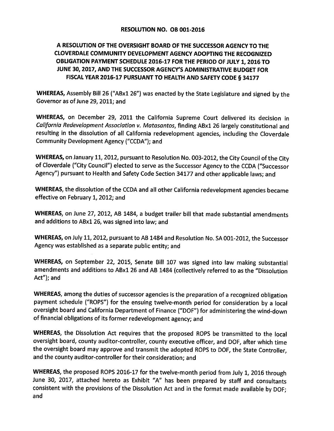## A RESOLUTION OF THE OVERSIGHT BOARD OF THE SUCCESSOR AGENCY TO THE **CLOVERDALE COMMUNITY DEVELOPMENT AGENCY ADOPTING THE RECOGNIZED** OBLIGATION PAYMENT SCHEDULE 2016-17 FOR THE PERIOD OF JULY 1, 2016 TO JUNE 30, 2017, AND THE SUCCESSOR AGENCY'S ADMINISTRATIVE BUDGET FOR FISCAL YEAR 2016-17 PURSUANT TO HEALTH AND SAFETY CODE § 34177

WHEREAS, Assembly Bill 26 ("ABx1 26") was enacted by the State Legislature and signed by the Governor as of June 29, 2011; and

WHEREAS, on December 29, 2011 the California Supreme Court delivered its decision in California Redevelopment Association v. Matasantos, finding ABx1 26 largely constitutional and resulting in the dissolution of all California redevelopment agencies, including the Cloverdale Community Development Agency ("CCDA"); and

WHEREAS, on January 11, 2012, pursuant to Resolution No. 003-2012, the City Council of the City of Cloverdale ("City Council") elected to serve as the Successor Agency to the CCDA ("Successor Agency") pursuant to Health and Safety Code Section 34177 and other applicable laws; and

WHEREAS, the dissolution of the CCDA and all other California redevelopment agencies became effective on February 1, 2012; and

WHEREAS, on June 27, 2012, AB 1484, a budget trailer bill that made substantial amendments and additions to ABx1 26, was signed into law; and

WHEREAS, on July 11, 2012, pursuant to AB 1484 and Resolution No. SA 001-2012, the Successor Agency was established as a separate public entity; and

WHEREAS, on September 22, 2015, Senate Bill 107 was signed into law making substantial amendments and additions to ABx1 26 and AB 1484 (collectively referred to as the "Dissolution Act"); and

WHEREAS, among the duties of successor agencies is the preparation of a recognized obligation payment schedule ("ROPS") for the ensuing twelve-month period for consideration by a local oversight board and California Department of Finance ("DOF") for administering the wind-down of financial obligations of its former redevelopment agency; and

WHEREAS, the Dissolution Act requires that the proposed ROPS be transmitted to the local oversight board, county auditor-controller, county executive officer, and DOF, after which time the oversight board may approve and transmit the adopted ROPS to DOF, the State Controller, and the county auditor-controller for their consideration; and

WHEREAS, the proposed ROPS 2016-17 for the twelve-month period from July 1, 2016 through June 30, 2017, attached hereto as Exhibit "A" has been prepared by staff and consultants consistent with the provisions of the Dissolution Act and in the format made available by DOF; and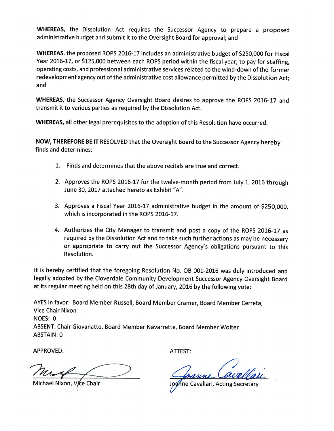**WHEREAS**, the Dissolution Act requires the Successor Agency to prepare a proposed administrative budget and submit it to the Oversight Board for approval; and

WHEREAS, the proposed ROPS 2016-17 includes an administrative budget of \$250,000 for Fiscal Year 2016-17, or \$125,000 between each ROPS period within the fiscal year, to pay for staffing, operating costs, and professional administrative services related to the wind-down of the former redevelopment agency out of the administrative cost allowance permitted by the Dissolution Act; and

WHEREAS, the Successor Agency Oversight Board desires to approve the ROPS 2016-17 and transmit it to various parties as required by the Dissolution Act.

WHEREAS, all other legal prerequisites to the adoption of this Resolution have occurred.

NOW, THEREFORE BE IT RESOLVED that the Oversight Board to the Successor Agency hereby finds and determines:

- 1. Finds and determines that the above recitals are true and correct.
- 2. Approves the ROPS 2016-17 for the twelve-month period from July 1, 2016 through June 30, 2017 attached hereto as Exhibit "A".
- 3. Approves a Fiscal Year 2016-17 administrative budget in the amount of \$250,000, which is incorporated in the ROPS 2016-17.
- 4. Authorizes the City Manager to transmit and post a copy of the ROPS 2016-17 as required by the Dissolution Act and to take such further actions as may be necessary or appropriate to carry out the Successor Agency's obligations pursuant to this Resolution.

It is hereby certified that the foregoing Resolution No. OB 001-2016 was duly introduced and legally adopted by the Cloverdale Community Development Successor Agency Oversight Board at its regular meeting held on this 28th day of January, 2016 by the following vote:

AYES in favor: Board Member Russell, Board Member Cramer, Board Member Cerreta, **Vice Chair Nixon** NOES: 0 ABSENT: Chair Giovanatto, Board Member Navarrette, Board Member Wolter **ABSTAIN: 0** 

**APPROVED:** 

i⁄ce Chair

ATTEST:

 $\mathcal{\tilde{S}}$ ne Cavallari, Acting Secretary